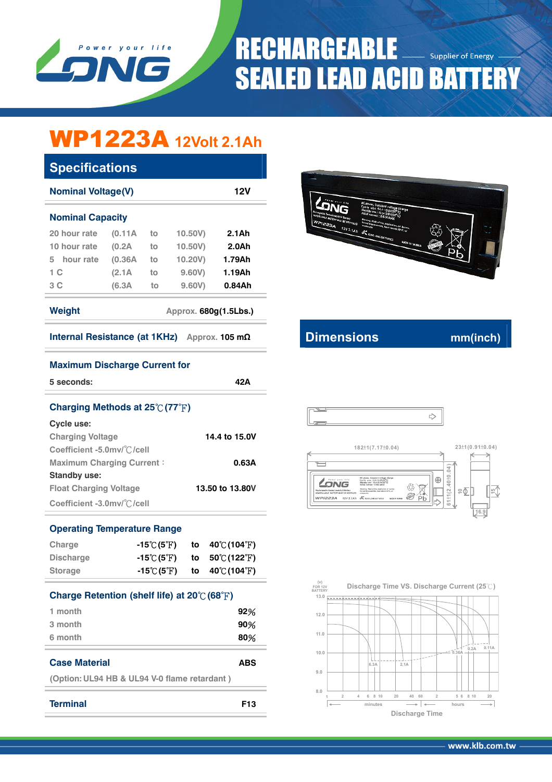

# **RECHARGEABLE Supplier of Energy SEALED LEAD ACID BATTERY**

# WP1223A **12Volt 2.1Ah**

| <b>Specifications</b>                           |         |    |         |           |  |
|-------------------------------------------------|---------|----|---------|-----------|--|
| <b>Nominal Voltage(V)</b>                       |         |    |         | 12V       |  |
| <b>Nominal Capacity</b>                         |         |    |         |           |  |
| 20 hour rate                                    | (0.11A) | to | 10.50V  | $2.1$ Ah  |  |
| 10 hour rate                                    | (0.2A)  | to | 10,50V  | 2.0Ah     |  |
| hour rate<br>5.                                 | (0.36A) | to | 10.20V) | 1.79Ah    |  |
| 1 <sup>C</sup>                                  | (2.1A)  | to | 9,60V   | 1.19Ah    |  |
| 3C                                              | (6.3A)  | to | 9.60V   | $0.84$ Ah |  |
| Weight<br>Approx. 680g(1.5Lbs.)                 |         |    |         |           |  |
| Internal Resistance (at 1KHz)<br>Approx. 105 mΩ |         |    |         |           |  |



## **IDIMENSIONS CONTAINS CONTAINS MINICALLY CONTAINS MINICALLY CONTAINS MINICALLY CONTAINS MINICALLY**

|  | ., |
|--|----|
|  |    |





### **Maximum Discharge Current for**

| 5 seconds:                                       | 42 Δ          |
|--------------------------------------------------|---------------|
| Charging Methods at $25\degree$ (77 $\degree$ F) |               |
| Cycle use:                                       |               |
| <b>Charging Voltage</b>                          | 14.4 to 15.0V |
| Coefficient -5.0mv/°C/cell                       |               |

| <b>Maximum Charging Current:</b> | 0.63A           |
|----------------------------------|-----------------|
| Standby use:                     |                 |
| <b>Float Charging Voltage</b>    | 13.50 to 13.80V |
| Coefficient -3.0mv/°C/cell       |                 |

### **Operating Temperature Range**

| Charge           | $-15\degree$ C(5 $\degree$ F)  | to $40^{\circ}$ (104 F)            |
|------------------|--------------------------------|------------------------------------|
| <b>Discharge</b> | $-15^{\circ}$ (5 $^{\circ}$ F) | to $50^{\circ}$ (122 $^{\circ}$ F) |
| <b>Storage</b>   | $-15^{\circ}$ (5 $^{\circ}$ F) | to $40^{\circ}$ (104 $^{\circ}$ F) |

| Charge Retention (shelf life) at 20℃ (68°F) |     |  |
|---------------------------------------------|-----|--|
| 1 month                                     | 92% |  |
| 3 month                                     | 90% |  |
| 6 month                                     | 80% |  |
|                                             |     |  |

```
Case Material ABS
```
**(Option: UL94 HB & UL94 V-0 flame retardant )** 

```
Terminal F13
```